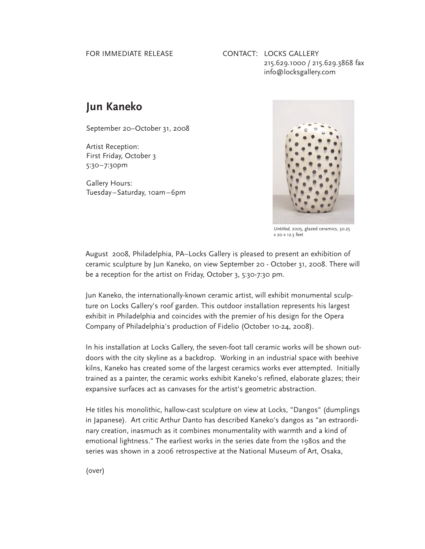## FOR IMMEDIATE RELEASE

## CONTACT: LOCKS GALLERY 215.629.1000 / 215.629.3868 fax info@locksgallery.com

## **Jun Kaneko**

September 20–October 31, 2008

Artist Reception: First Friday, October 3 5:30–7:30pm

Gallery Hours: Tuesday–Saturday, 10am–6pm



*Untitled,* 2005, glazed ceramics, 30.25 x 20 x 12.5 feet

August 2008, Philadelphia, PA–Locks Gallery is pleased to present an exhibition of ceramic sculpture by Jun Kaneko, on view September 20 - October 31, 2008. There will be a reception for the artist on Friday, October 3, 5:30-7:30 pm.

Jun Kaneko, the internationally-known ceramic artist, will exhibit monumental sculpture on Locks Gallery's roof garden. This outdoor installation represents his largest exhibit in Philadelphia and coincides with the premier of his design for the Opera Company of Philadelphia's production of Fidelio (October 10-24, 2008).

In his installation at Locks Gallery, the seven-foot tall ceramic works will be shown outdoors with the city skyline as a backdrop. Working in an industrial space with beehive kilns, Kaneko has created some of the largest ceramics works ever attempted. Initially trained as a painter, the ceramic works exhibit Kaneko's refined, elaborate glazes; their expansive surfaces act as canvases for the artist's geometric abstraction.

He titles his monolithic, hallow-cast sculpture on view at Locks, "Dangos" (dumplings in Japanese). Art critic Arthur Danto has described Kaneko's dangos as "an extraordinary creation, inasmuch as it combines monumentality with warmth and a kind of emotional lightness." The earliest works in the series date from the 1980s and the series was shown in a 2006 retrospective at the National Museum of Art, Osaka,

(over)